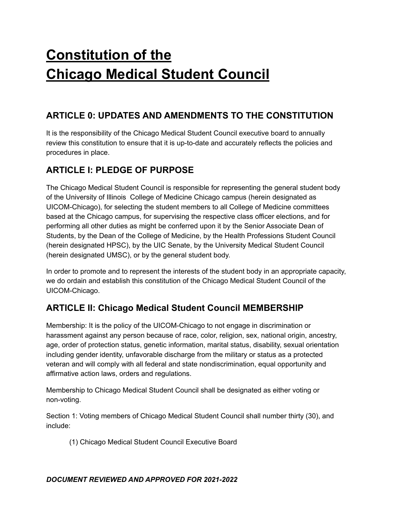# **Constitution of the Chicago Medical Student Council**

# **ARTICLE 0: UPDATES AND AMENDMENTS TO THE CONSTITUTION**

It is the responsibility of the Chicago Medical Student Council executive board to annually review this constitution to ensure that it is up-to-date and accurately reflects the policies and procedures in place.

# **ARTICLE I: PLEDGE OF PURPOSE**

The Chicago Medical Student Council is responsible for representing the general student body of the University of Illinois College of Medicine Chicago campus (herein designated as UICOM-Chicago), for selecting the student members to all College of Medicine committees based at the Chicago campus, for supervising the respective class officer elections, and for performing all other duties as might be conferred upon it by the Senior Associate Dean of Students, by the Dean of the College of Medicine, by the Health Professions Student Council (herein designated HPSC), by the UIC Senate, by the University Medical Student Council (herein designated UMSC), or by the general student body.

In order to promote and to represent the interests of the student body in an appropriate capacity, we do ordain and establish this constitution of the Chicago Medical Student Council of the UICOM-Chicago.

# **ARTICLE II: Chicago Medical Student Council MEMBERSHIP**

Membership: It is the policy of the UICOM-Chicago to not engage in discrimination or harassment against any person because of race, color, religion, sex, national origin, ancestry, age, order of protection status, genetic information, marital status, disability, sexual orientation including gender identity, unfavorable discharge from the military or status as a protected veteran and will comply with all federal and state nondiscrimination, equal opportunity and affirmative action laws, orders and regulations.

Membership to Chicago Medical Student Council shall be designated as either voting or non-voting.

Section 1: Voting members of Chicago Medical Student Council shall number thirty (30), and include:

(1) Chicago Medical Student Council Executive Board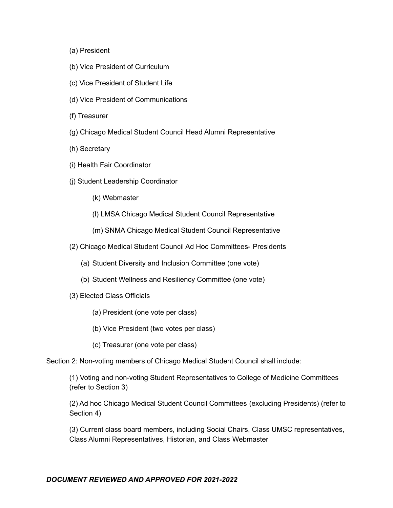- (a) President
- (b) Vice President of Curriculum
- (c) Vice President of Student Life
- (d) Vice President of Communications
- (f) Treasurer
- (g) Chicago Medical Student Council Head Alumni Representative
- (h) Secretary
- (i) Health Fair Coordinator
- (j) Student Leadership Coordinator
	- (k) Webmaster
	- (l) LMSA Chicago Medical Student Council Representative
	- (m) SNMA Chicago Medical Student Council Representative
- (2) Chicago Medical Student Council Ad Hoc Committees- Presidents
	- (a) Student Diversity and Inclusion Committee (one vote)
	- (b) Student Wellness and Resiliency Committee (one vote)
- (3) Elected Class Officials
	- (a) President (one vote per class)
	- (b) Vice President (two votes per class)
	- (c) Treasurer (one vote per class)

Section 2: Non-voting members of Chicago Medical Student Council shall include:

(1) Voting and non-voting Student Representatives to College of Medicine Committees (refer to Section 3)

(2) Ad hoc Chicago Medical Student Council Committees (excluding Presidents) (refer to Section 4)

(3) Current class board members, including Social Chairs, Class UMSC representatives, Class Alumni Representatives, Historian, and Class Webmaster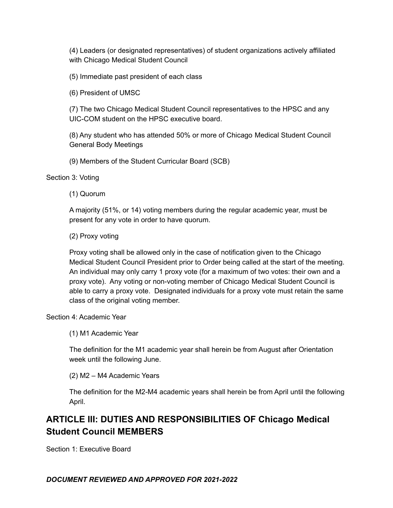(4) Leaders (or designated representatives) of student organizations actively affiliated with Chicago Medical Student Council

(5) Immediate past president of each class

(6) President of UMSC

(7) The two Chicago Medical Student Council representatives to the HPSC and any UIC-COM student on the HPSC executive board.

(8) Any student who has attended 50% or more of Chicago Medical Student Council General Body Meetings

(9) Members of the Student Curricular Board (SCB)

Section 3: Voting

(1) Quorum

A majority (51%, or 14) voting members during the regular academic year, must be present for any vote in order to have quorum.

(2) Proxy voting

Proxy voting shall be allowed only in the case of notification given to the Chicago Medical Student Council President prior to Order being called at the start of the meeting. An individual may only carry 1 proxy vote (for a maximum of two votes: their own and a proxy vote). Any voting or non-voting member of Chicago Medical Student Council is able to carry a proxy vote. Designated individuals for a proxy vote must retain the same class of the original voting member.

Section 4: Academic Year

(1) M1 Academic Year

The definition for the M1 academic year shall herein be from August after Orientation week until the following June.

(2) M2 – M4 Academic Years

The definition for the M2-M4 academic years shall herein be from April until the following April.

# **ARTICLE III: DUTIES AND RESPONSIBILITIES OF Chicago Medical Student Council MEMBERS**

Section 1: Executive Board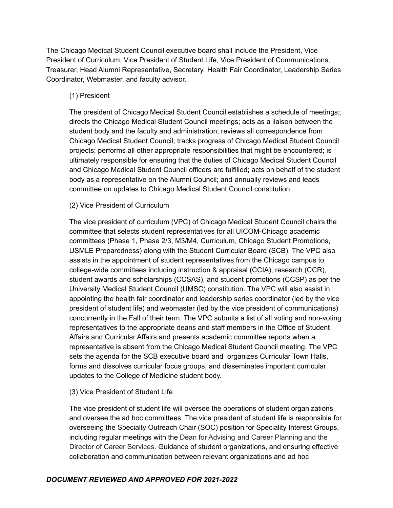The Chicago Medical Student Council executive board shall include the President, Vice President of Curriculum, Vice President of Student Life, Vice President of Communications, Treasurer, Head Alumni Representative, Secretary, Health Fair Coordinator, Leadership Series Coordinator, Webmaster, and faculty advisor.

# (1) President

The president of Chicago Medical Student Council establishes a schedule of meetings;; directs the Chicago Medical Student Council meetings; acts as a liaison between the student body and the faculty and administration; reviews all correspondence from Chicago Medical Student Council; tracks progress of Chicago Medical Student Council projects; performs all other appropriate responsibilities that might be encountered; is ultimately responsible for ensuring that the duties of Chicago Medical Student Council and Chicago Medical Student Council officers are fulfilled; acts on behalf of the student body as a representative on the Alumni Council; and annually reviews and leads committee on updates to Chicago Medical Student Council constitution.

#### (2) Vice President of Curriculum

The vice president of curriculum (VPC) of Chicago Medical Student Council chairs the committee that selects student representatives for all UICOM-Chicago academic committees (Phase 1, Phase 2/3, M3/M4, Curriculum, Chicago Student Promotions, USMLE Preparedness) along with the Student Curricular Board (SCB). The VPC also assists in the appointment of student representatives from the Chicago campus to college-wide committees including instruction & appraisal (CCIA), research (CCR), student awards and scholarships (CCSAS), and student promotions (CCSP) as per the University Medical Student Council (UMSC) constitution. The VPC will also assist in appointing the health fair coordinator and leadership series coordinator (led by the vice president of student life) and webmaster (led by the vice president of communications) concurrently in the Fall of their term. The VPC submits a list of all voting and non-voting representatives to the appropriate deans and staff members in the Office of Student Affairs and Curricular Affairs and presents academic committee reports when a representative is absent from the Chicago Medical Student Council meeting. The VPC sets the agenda for the SCB executive board and organizes Curricular Town Halls, forms and dissolves curricular focus groups, and disseminates important curricular updates to the College of Medicine student body.

#### (3) Vice President of Student Life

The vice president of student life will oversee the operations of student organizations and oversee the ad hoc committees. The vice president of student life is responsible for overseeing the Specialty Outreach Chair (SOC) position for Speciality Interest Groups, including regular meetings with the Dean for Advising and Career Planning and the Director of Career Services. Guidance of student organizations, and ensuring effective collaboration and communication between relevant organizations and ad hoc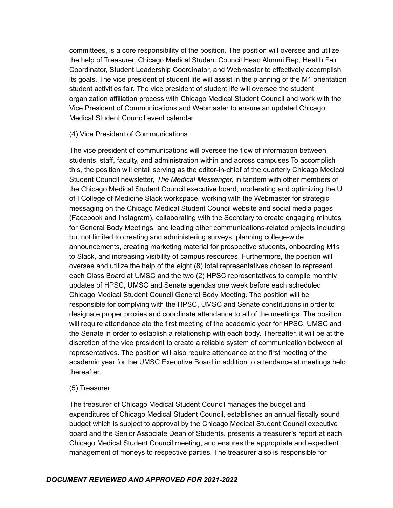committees, is a core responsibility of the position. The position will oversee and utilize the help of Treasurer, Chicago Medical Student Council Head Alumni Rep, Health Fair Coordinator, Student Leadership Coordinator, and Webmaster to effectively accomplish its goals. The vice president of student life will assist in the planning of the M1 orientation student activities fair. The vice president of student life will oversee the student organization affiliation process with Chicago Medical Student Council and work with the Vice President of Communications and Webmaster to ensure an updated Chicago Medical Student Council event calendar.

# (4) Vice President of Communications

The vice president of communications will oversee the flow of information between students, staff, faculty, and administration within and across campuses To accomplish this, the position will entail serving as the editor-in-chief of the quarterly Chicago Medical Student Council newsletter, *The Medical Messenger,* in tandem with other members of the Chicago Medical Student Council executive board, moderating and optimizing the U of I College of Medicine Slack workspace, working with the Webmaster for strategic messaging on the Chicago Medical Student Council website and social media pages (Facebook and Instagram), collaborating with the Secretary to create engaging minutes for General Body Meetings, and leading other communications-related projects including but not limited to creating and administering surveys, planning college-wide announcements, creating marketing material for prospective students, onboarding M1s to Slack, and increasing visibility of campus resources. Furthermore, the position will oversee and utilize the help of the eight (8) total representatives chosen to represent each Class Board at UMSC and the two (2) HPSC representatives to compile monthly updates of HPSC, UMSC and Senate agendas one week before each scheduled Chicago Medical Student Council General Body Meeting. The position will be responsible for complying with the HPSC, UMSC and Senate constitutions in order to designate proper proxies and coordinate attendance to all of the meetings. The position will require attendance ato the first meeting of the academic year for HPSC, UMSC and the Senate in order to establish a relationship with each body. Thereafter, it will be at the discretion of the vice president to create a reliable system of communication between all representatives. The position will also require attendance at the first meeting of the academic year for the UMSC Executive Board in addition to attendance at meetings held thereafter.

# (5) Treasurer

The treasurer of Chicago Medical Student Council manages the budget and expenditures of Chicago Medical Student Council, establishes an annual fiscally sound budget which is subject to approval by the Chicago Medical Student Council executive board and the Senior Associate Dean of Students, presents a treasurer's report at each Chicago Medical Student Council meeting, and ensures the appropriate and expedient management of moneys to respective parties. The treasurer also is responsible for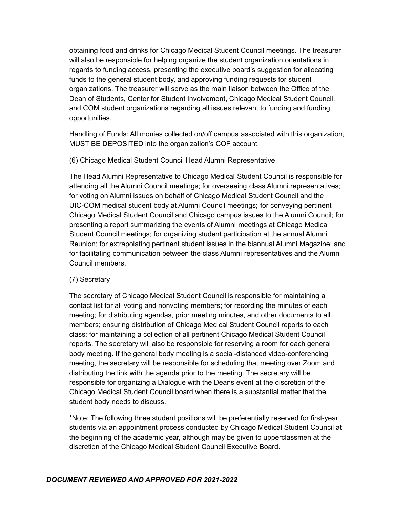obtaining food and drinks for Chicago Medical Student Council meetings. The treasurer will also be responsible for helping organize the student organization orientations in regards to funding access, presenting the executive board's suggestion for allocating funds to the general student body, and approving funding requests for student organizations. The treasurer will serve as the main liaison between the Office of the Dean of Students, Center for Student Involvement, Chicago Medical Student Council, and COM student organizations regarding all issues relevant to funding and funding opportunities.

Handling of Funds: All monies collected on/off campus associated with this organization, MUST BE DEPOSITED into the organization's COF account.

# (6) Chicago Medical Student Council Head Alumni Representative

The Head Alumni Representative to Chicago Medical Student Council is responsible for attending all the Alumni Council meetings; for overseeing class Alumni representatives; for voting on Alumni issues on behalf of Chicago Medical Student Council and the UIC-COM medical student body at Alumni Council meetings; for conveying pertinent Chicago Medical Student Council and Chicago campus issues to the Alumni Council; for presenting a report summarizing the events of Alumni meetings at Chicago Medical Student Council meetings; for organizing student participation at the annual Alumni Reunion; for extrapolating pertinent student issues in the biannual Alumni Magazine; and for facilitating communication between the class Alumni representatives and the Alumni Council members.

# (7) Secretary

The secretary of Chicago Medical Student Council is responsible for maintaining a contact list for all voting and nonvoting members; for recording the minutes of each meeting; for distributing agendas, prior meeting minutes, and other documents to all members; ensuring distribution of Chicago Medical Student Council reports to each class; for maintaining a collection of all pertinent Chicago Medical Student Council reports. The secretary will also be responsible for reserving a room for each general body meeting. If the general body meeting is a social-distanced video-conferencing meeting, the secretary will be responsible for scheduling that meeting over Zoom and distributing the link with the agenda prior to the meeting. The secretary will be responsible for organizing a Dialogue with the Deans event at the discretion of the Chicago Medical Student Council board when there is a substantial matter that the student body needs to discuss.

\*Note: The following three student positions will be preferentially reserved for first-year students via an appointment process conducted by Chicago Medical Student Council at the beginning of the academic year, although may be given to upperclassmen at the discretion of the Chicago Medical Student Council Executive Board.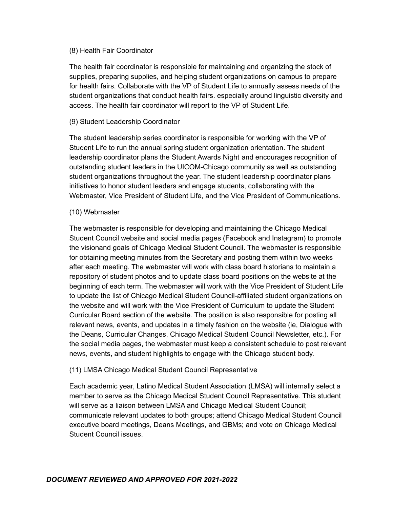#### (8) Health Fair Coordinator

The health fair coordinator is responsible for maintaining and organizing the stock of supplies, preparing supplies, and helping student organizations on campus to prepare for health fairs. Collaborate with the VP of Student Life to annually assess needs of the student organizations that conduct health fairs. especially around linguistic diversity and access. The health fair coordinator will report to the VP of Student Life.

# (9) Student Leadership Coordinator

The student leadership series coordinator is responsible for working with the VP of Student Life to run the annual spring student organization orientation. The student leadership coordinator plans the Student Awards Night and encourages recognition of outstanding student leaders in the UICOM-Chicago community as well as outstanding student organizations throughout the year. The student leadership coordinator plans initiatives to honor student leaders and engage students, collaborating with the Webmaster, Vice President of Student Life, and the Vice President of Communications.

#### (10) Webmaster

The webmaster is responsible for developing and maintaining the Chicago Medical Student Council website and social media pages (Facebook and Instagram) to promote the visionand goals of Chicago Medical Student Council. The webmaster is responsible for obtaining meeting minutes from the Secretary and posting them within two weeks after each meeting. The webmaster will work with class board historians to maintain a repository of student photos and to update class board positions on the website at the beginning of each term. The webmaster will work with the Vice President of Student Life to update the list of Chicago Medical Student Council-affiliated student organizations on the website and will work with the Vice President of Curriculum to update the Student Curricular Board section of the website. The position is also responsible for posting all relevant news, events, and updates in a timely fashion on the website (ie, Dialogue with the Deans, Curricular Changes, Chicago Medical Student Council Newsletter, etc.). For the social media pages, the webmaster must keep a consistent schedule to post relevant news, events, and student highlights to engage with the Chicago student body.

# (11) LMSA Chicago Medical Student Council Representative

Each academic year, Latino Medical Student Association (LMSA) will internally select a member to serve as the Chicago Medical Student Council Representative. This student will serve as a liaison between LMSA and Chicago Medical Student Council; communicate relevant updates to both groups; attend Chicago Medical Student Council executive board meetings, Deans Meetings, and GBMs; and vote on Chicago Medical Student Council issues.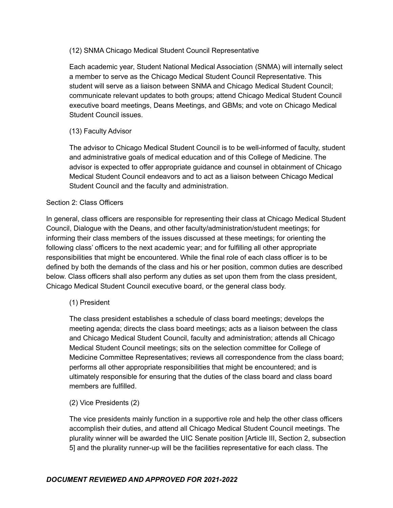# (12) SNMA Chicago Medical Student Council Representative

Each academic year, Student National Medical Association (SNMA) will internally select a member to serve as the Chicago Medical Student Council Representative. This student will serve as a liaison between SNMA and Chicago Medical Student Council; communicate relevant updates to both groups; attend Chicago Medical Student Council executive board meetings, Deans Meetings, and GBMs; and vote on Chicago Medical Student Council issues.

# (13) Faculty Advisor

The advisor to Chicago Medical Student Council is to be well-informed of faculty, student and administrative goals of medical education and of this College of Medicine. The advisor is expected to offer appropriate guidance and counsel in obtainment of Chicago Medical Student Council endeavors and to act as a liaison between Chicago Medical Student Council and the faculty and administration.

# Section 2: Class Officers

In general, class officers are responsible for representing their class at Chicago Medical Student Council, Dialogue with the Deans, and other faculty/administration/student meetings; for informing their class members of the issues discussed at these meetings; for orienting the following class' officers to the next academic year; and for fulfilling all other appropriate responsibilities that might be encountered. While the final role of each class officer is to be defined by both the demands of the class and his or her position, common duties are described below. Class officers shall also perform any duties as set upon them from the class president, Chicago Medical Student Council executive board, or the general class body.

# (1) President

The class president establishes a schedule of class board meetings; develops the meeting agenda; directs the class board meetings; acts as a liaison between the class and Chicago Medical Student Council, faculty and administration; attends all Chicago Medical Student Council meetings; sits on the selection committee for College of Medicine Committee Representatives; reviews all correspondence from the class board; performs all other appropriate responsibilities that might be encountered; and is ultimately responsible for ensuring that the duties of the class board and class board members are fulfilled.

(2) Vice Presidents (2)

The vice presidents mainly function in a supportive role and help the other class officers accomplish their duties, and attend all Chicago Medical Student Council meetings. The plurality winner will be awarded the UIC Senate position [Article III, Section 2, subsection 5] and the plurality runner-up will be the facilities representative for each class. The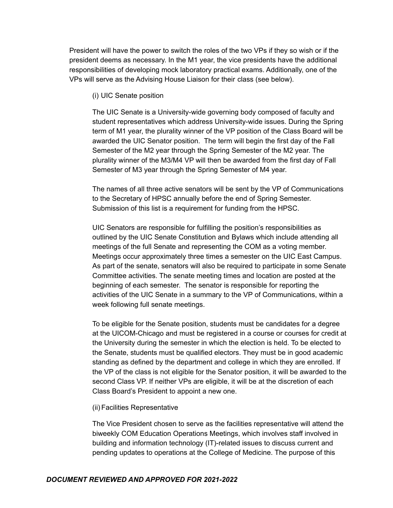President will have the power to switch the roles of the two VPs if they so wish or if the president deems as necessary. In the M1 year, the vice presidents have the additional responsibilities of developing mock laboratory practical exams. Additionally, one of the VPs will serve as the Advising House Liaison for their class (see below).

(i) UIC Senate position

The UIC Senate is a University-wide governing body composed of faculty and student representatives which address University-wide issues. During the Spring term of M1 year, the plurality winner of the VP position of the Class Board will be awarded the UIC Senator position. The term will begin the first day of the Fall Semester of the M2 year through the Spring Semester of the M2 year. The plurality winner of the M3/M4 VP will then be awarded from the first day of Fall Semester of M3 year through the Spring Semester of M4 year.

The names of all three active senators will be sent by the VP of Communications to the Secretary of HPSC annually before the end of Spring Semester. Submission of this list is a requirement for funding from the HPSC.

UIC Senators are responsible for fulfilling the position's responsibilities as outlined by the UIC Senate Constitution and Bylaws which include attending all meetings of the full Senate and representing the COM as a voting member. Meetings occur approximately three times a semester on the UIC East Campus. As part of the senate, senators will also be required to participate in some Senate Committee activities. The senate meeting times and location are posted at the beginning of each semester. The senator is responsible for reporting the activities of the UIC Senate in a summary to the VP of Communications, within a week following full senate meetings.

To be eligible for the Senate position, students must be candidates for a degree at the UICOM-Chicago and must be registered in a course or courses for credit at the University during the semester in which the election is held. To be elected to the Senate, students must be qualified electors. They must be in good academic standing as defined by the department and college in which they are enrolled. If the VP of the class is not eligible for the Senator position, it will be awarded to the second Class VP. If neither VPs are eligible, it will be at the discretion of each Class Board's President to appoint a new one.

(ii) Facilities Representative

The Vice President chosen to serve as the facilities representative will attend the biweekly COM Education Operations Meetings, which involves staff involved in building and information technology (IT)-related issues to discuss current and pending updates to operations at the College of Medicine. The purpose of this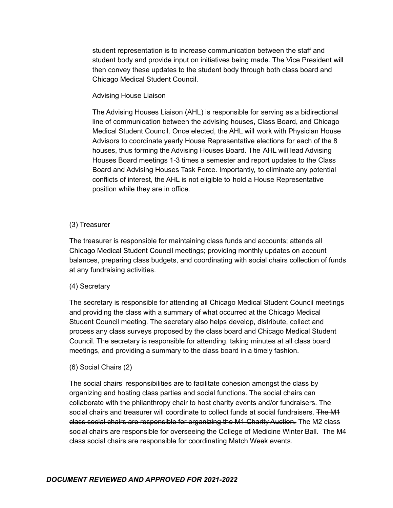student representation is to increase communication between the staff and student body and provide input on initiatives being made. The Vice President will then convey these updates to the student body through both class board and Chicago Medical Student Council.

#### Advising House Liaison

The Advising Houses Liaison (AHL) is responsible for serving as a bidirectional line of communication between the advising houses, Class Board, and Chicago Medical Student Council. Once elected, the AHL will work with Physician House Advisors to coordinate yearly House Representative elections for each of the 8 houses, thus forming the Advising Houses Board. The AHL will lead Advising Houses Board meetings 1-3 times a semester and report updates to the Class Board and Advising Houses Task Force. Importantly, to eliminate any potential conflicts of interest, the AHL is not eligible to hold a House Representative position while they are in office.

# (3) Treasurer

The treasurer is responsible for maintaining class funds and accounts; attends all Chicago Medical Student Council meetings; providing monthly updates on account balances, preparing class budgets, and coordinating with social chairs collection of funds at any fundraising activities.

# (4) Secretary

The secretary is responsible for attending all Chicago Medical Student Council meetings and providing the class with a summary of what occurred at the Chicago Medical Student Council meeting. The secretary also helps develop, distribute, collect and process any class surveys proposed by the class board and Chicago Medical Student Council. The secretary is responsible for attending, taking minutes at all class board meetings, and providing a summary to the class board in a timely fashion.

#### (6) Social Chairs (2)

The social chairs' responsibilities are to facilitate cohesion amongst the class by organizing and hosting class parties and social functions. The social chairs can collaborate with the philanthropy chair to host charity events and/or fundraisers. The social chairs and treasurer will coordinate to collect funds at social fundraisers. The M4 class social chairs are responsible for organizing the M1 Charity Auction. The M2 class social chairs are responsible for overseeing the College of Medicine Winter Ball. The M4 class social chairs are responsible for coordinating Match Week events.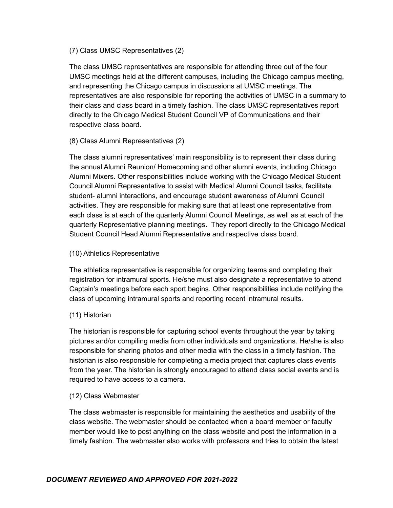# (7) Class UMSC Representatives (2)

The class UMSC representatives are responsible for attending three out of the four UMSC meetings held at the different campuses, including the Chicago campus meeting, and representing the Chicago campus in discussions at UMSC meetings. The representatives are also responsible for reporting the activities of UMSC in a summary to their class and class board in a timely fashion. The class UMSC representatives report directly to the Chicago Medical Student Council VP of Communications and their respective class board.

# (8) Class Alumni Representatives (2)

The class alumni representatives' main responsibility is to represent their class during the annual Alumni Reunion/ Homecoming and other alumni events, including Chicago Alumni Mixers. Other responsibilities include working with the Chicago Medical Student Council Alumni Representative to assist with Medical Alumni Council tasks, facilitate student- alumni interactions, and encourage student awareness of Alumni Council activities. They are responsible for making sure that at least one representative from each class is at each of the quarterly Alumni Council Meetings, as well as at each of the quarterly Representative planning meetings. They report directly to the Chicago Medical Student Council Head Alumni Representative and respective class board.

# (10) Athletics Representative

The athletics representative is responsible for organizing teams and completing their registration for intramural sports. He/she must also designate a representative to attend Captain's meetings before each sport begins. Other responsibilities include notifying the class of upcoming intramural sports and reporting recent intramural results.

# (11) Historian

The historian is responsible for capturing school events throughout the year by taking pictures and/or compiling media from other individuals and organizations. He/she is also responsible for sharing photos and other media with the class in a timely fashion. The historian is also responsible for completing a media project that captures class events from the year. The historian is strongly encouraged to attend class social events and is required to have access to a camera.

# (12) Class Webmaster

The class webmaster is responsible for maintaining the aesthetics and usability of the class website. The webmaster should be contacted when a board member or faculty member would like to post anything on the class website and post the information in a timely fashion. The webmaster also works with professors and tries to obtain the latest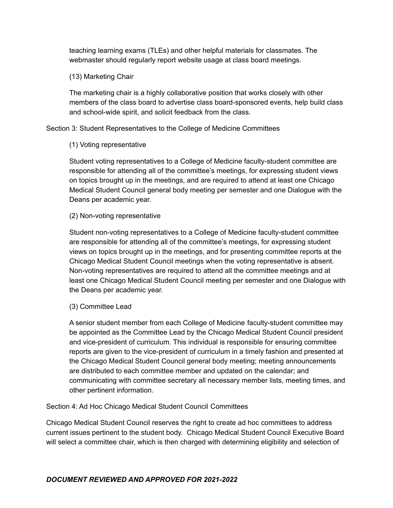teaching learning exams (TLEs) and other helpful materials for classmates. The webmaster should regularly report website usage at class board meetings.

# (13) Marketing Chair

The marketing chair is a highly collaborative position that works closely with other members of the class board to advertise class board-sponsored events, help build class and school-wide spirit, and solicit feedback from the class.

Section 3: Student Representatives to the College of Medicine Committees

# (1) Voting representative

Student voting representatives to a College of Medicine faculty-student committee are responsible for attending all of the committee's meetings, for expressing student views on topics brought up in the meetings, and are required to attend at least one Chicago Medical Student Council general body meeting per semester and one Dialogue with the Deans per academic year.

# (2) Non-voting representative

Student non-voting representatives to a College of Medicine faculty-student committee are responsible for attending all of the committee's meetings, for expressing student views on topics brought up in the meetings, and for presenting committee reports at the Chicago Medical Student Council meetings when the voting representative is absent. Non-voting representatives are required to attend all the committee meetings and at least one Chicago Medical Student Council meeting per semester and one Dialogue with the Deans per academic year.

# (3) Committee Lead

A senior student member from each College of Medicine faculty-student committee may be appointed as the Committee Lead by the Chicago Medical Student Council president and vice-president of curriculum. This individual is responsible for ensuring committee reports are given to the vice-president of curriculum in a timely fashion and presented at the Chicago Medical Student Council general body meeting; meeting announcements are distributed to each committee member and updated on the calendar; and communicating with committee secretary all necessary member lists, meeting times, and other pertinent information.

# Section 4: Ad Hoc Chicago Medical Student Council Committees

Chicago Medical Student Council reserves the right to create ad hoc committees to address current issues pertinent to the student body. Chicago Medical Student Council Executive Board will select a committee chair, which is then charged with determining eligibility and selection of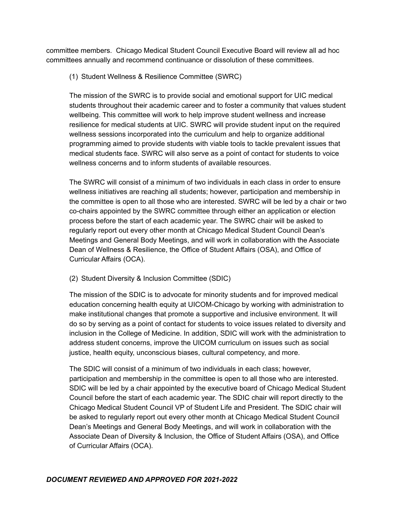committee members. Chicago Medical Student Council Executive Board will review all ad hoc committees annually and recommend continuance or dissolution of these committees.

(1) Student Wellness & Resilience Committee (SWRC)

The mission of the SWRC is to provide social and emotional support for UIC medical students throughout their academic career and to foster a community that values student wellbeing. This committee will work to help improve student wellness and increase resilience for medical students at UIC. SWRC will provide student input on the required wellness sessions incorporated into the curriculum and help to organize additional programming aimed to provide students with viable tools to tackle prevalent issues that medical students face. SWRC will also serve as a point of contact for students to voice wellness concerns and to inform students of available resources.

The SWRC will consist of a minimum of two individuals in each class in order to ensure wellness initiatives are reaching all students; however, participation and membership in the committee is open to all those who are interested. SWRC will be led by a chair or two co-chairs appointed by the SWRC committee through either an application or election process before the start of each academic year. The SWRC chair will be asked to regularly report out every other month at Chicago Medical Student Council Dean's Meetings and General Body Meetings, and will work in collaboration with the Associate Dean of Wellness & Resilience, the Office of Student Affairs (OSA), and Office of Curricular Affairs (OCA).

(2) Student Diversity & Inclusion Committee (SDIC)

The mission of the SDIC is to advocate for minority students and for improved medical education concerning health equity at UICOM-Chicago by working with administration to make institutional changes that promote a supportive and inclusive environment. It will do so by serving as a point of contact for students to voice issues related to diversity and inclusion in the College of Medicine. In addition, SDIC will work with the administration to address student concerns, improve the UICOM curriculum on issues such as social justice, health equity, unconscious biases, cultural competency, and more.

The SDIC will consist of a minimum of two individuals in each class; however, participation and membership in the committee is open to all those who are interested. SDIC will be led by a chair appointed by the executive board of Chicago Medical Student Council before the start of each academic year. The SDIC chair will report directly to the Chicago Medical Student Council VP of Student Life and President. The SDIC chair will be asked to regularly report out every other month at Chicago Medical Student Council Dean's Meetings and General Body Meetings, and will work in collaboration with the Associate Dean of Diversity & Inclusion, the Office of Student Affairs (OSA), and Office of Curricular Affairs (OCA).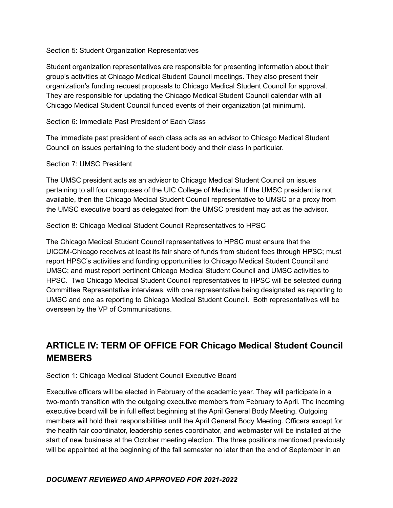#### Section 5: Student Organization Representatives

Student organization representatives are responsible for presenting information about their group's activities at Chicago Medical Student Council meetings. They also present their organization's funding request proposals to Chicago Medical Student Council for approval. They are responsible for updating the Chicago Medical Student Council calendar with all Chicago Medical Student Council funded events of their organization (at minimum).

#### Section 6: Immediate Past President of Each Class

The immediate past president of each class acts as an advisor to Chicago Medical Student Council on issues pertaining to the student body and their class in particular.

#### Section 7: UMSC President

The UMSC president acts as an advisor to Chicago Medical Student Council on issues pertaining to all four campuses of the UIC College of Medicine. If the UMSC president is not available, then the Chicago Medical Student Council representative to UMSC or a proxy from the UMSC executive board as delegated from the UMSC president may act as the advisor.

Section 8: Chicago Medical Student Council Representatives to HPSC

The Chicago Medical Student Council representatives to HPSC must ensure that the UICOM-Chicago receives at least its fair share of funds from student fees through HPSC; must report HPSC's activities and funding opportunities to Chicago Medical Student Council and UMSC; and must report pertinent Chicago Medical Student Council and UMSC activities to HPSC. Two Chicago Medical Student Council representatives to HPSC will be selected during Committee Representative interviews, with one representative being designated as reporting to UMSC and one as reporting to Chicago Medical Student Council. Both representatives will be overseen by the VP of Communications.

# **ARTICLE IV: TERM OF OFFICE FOR Chicago Medical Student Council MEMBERS**

# Section 1: Chicago Medical Student Council Executive Board

Executive officers will be elected in February of the academic year. They will participate in a two-month transition with the outgoing executive members from February to April. The incoming executive board will be in full effect beginning at the April General Body Meeting. Outgoing members will hold their responsibilities until the April General Body Meeting. Officers except for the health fair coordinator, leadership series coordinator, and webmaster will be installed at the start of new business at the October meeting election. The three positions mentioned previously will be appointed at the beginning of the fall semester no later than the end of September in an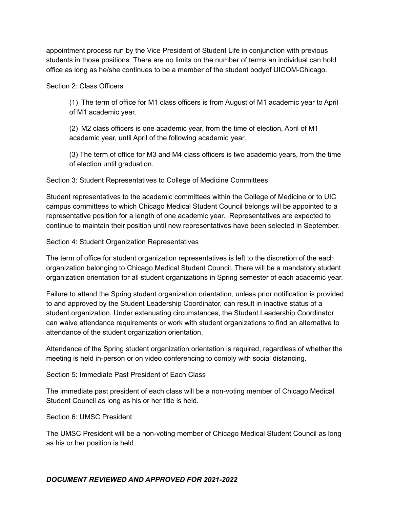appointment process run by the Vice President of Student Life in conjunction with previous students in those positions. There are no limits on the number of terms an individual can hold office as long as he/she continues to be a member of the student bodyof UICOM-Chicago.

Section 2: Class Officers

(1) The term of office for M1 class officers is from August of M1 academic year to April of M1 academic year.

(2) M2 class officers is one academic year, from the time of election, April of M1 academic year, until April of the following academic year.

(3) The term of office for M3 and M4 class officers is two academic years, from the time of election until graduation.

Section 3: Student Representatives to College of Medicine Committees

Student representatives to the academic committees within the College of Medicine or to UIC campus committees to which Chicago Medical Student Council belongs will be appointed to a representative position for a length of one academic year. Representatives are expected to continue to maintain their position until new representatives have been selected in September.

Section 4: Student Organization Representatives

The term of office for student organization representatives is left to the discretion of the each organization belonging to Chicago Medical Student Council. There will be a mandatory student organization orientation for all student organizations in Spring semester of each academic year.

Failure to attend the Spring student organization orientation, unless prior notification is provided to and approved by the Student Leadership Coordinator, can result in inactive status of a student organization. Under extenuating circumstances, the Student Leadership Coordinator can waive attendance requirements or work with student organizations to find an alternative to attendance of the student organization orientation.

Attendance of the Spring student organization orientation is required, regardless of whether the meeting is held in-person or on video conferencing to comply with social distancing.

Section 5: Immediate Past President of Each Class

The immediate past president of each class will be a non-voting member of Chicago Medical Student Council as long as his or her title is held.

Section 6: UMSC President

The UMSC President will be a non-voting member of Chicago Medical Student Council as long as his or her position is held.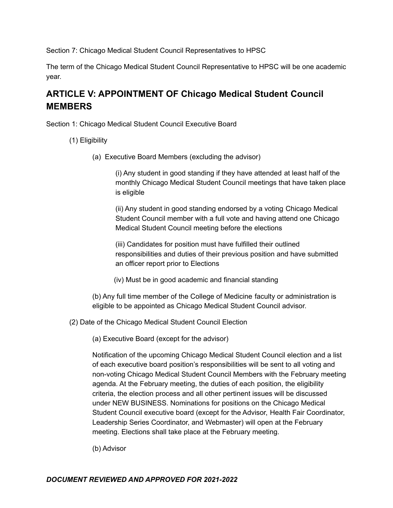Section 7: Chicago Medical Student Council Representatives to HPSC

The term of the Chicago Medical Student Council Representative to HPSC will be one academic year.

# **ARTICLE V: APPOINTMENT OF Chicago Medical Student Council MEMBERS**

Section 1: Chicago Medical Student Council Executive Board

- (1) Eligibility
	- (a) Executive Board Members (excluding the advisor)

(i) Any student in good standing if they have attended at least half of the monthly Chicago Medical Student Council meetings that have taken place is eligible

(ii) Any student in good standing endorsed by a voting Chicago Medical Student Council member with a full vote and having attend one Chicago Medical Student Council meeting before the elections

(iii) Candidates for position must have fulfilled their outlined responsibilities and duties of their previous position and have submitted an officer report prior to Elections

(iv) Must be in good academic and financial standing

(b) Any full time member of the College of Medicine faculty or administration is eligible to be appointed as Chicago Medical Student Council advisor.

(2) Date of the Chicago Medical Student Council Election

(a) Executive Board (except for the advisor)

Notification of the upcoming Chicago Medical Student Council election and a list of each executive board position's responsibilities will be sent to all voting and non-voting Chicago Medical Student Council Members with the February meeting agenda. At the February meeting, the duties of each position, the eligibility criteria, the election process and all other pertinent issues will be discussed under NEW BUSINESS. Nominations for positions on the Chicago Medical Student Council executive board (except for the Advisor, Health Fair Coordinator, Leadership Series Coordinator, and Webmaster) will open at the February meeting. Elections shall take place at the February meeting.

(b) Advisor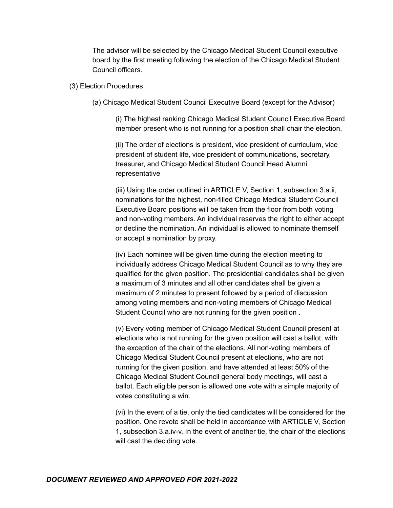The advisor will be selected by the Chicago Medical Student Council executive board by the first meeting following the election of the Chicago Medical Student Council officers.

#### (3) Election Procedures

(a) Chicago Medical Student Council Executive Board (except for the Advisor)

(i) The highest ranking Chicago Medical Student Council Executive Board member present who is not running for a position shall chair the election.

(ii) The order of elections is president, vice president of curriculum, vice president of student life, vice president of communications, secretary, treasurer, and Chicago Medical Student Council Head Alumni representative

(iii) Using the order outlined in ARTICLE V, Section 1, subsection 3.a.ii, nominations for the highest, non-filled Chicago Medical Student Council Executive Board positions will be taken from the floor from both voting and non-voting members. An individual reserves the right to either accept or decline the nomination. An individual is allowed to nominate themself or accept a nomination by proxy.

(iv) Each nominee will be given time during the election meeting to individually address Chicago Medical Student Council as to why they are qualified for the given position. The presidential candidates shall be given a maximum of 3 minutes and all other candidates shall be given a maximum of 2 minutes to present followed by a period of discussion among voting members and non-voting members of Chicago Medical Student Council who are not running for the given position .

(v) Every voting member of Chicago Medical Student Council present at elections who is not running for the given position will cast a ballot, with the exception of the chair of the elections. All non-voting members of Chicago Medical Student Council present at elections, who are not running for the given position, and have attended at least 50% of the Chicago Medical Student Council general body meetings, will cast a ballot. Each eligible person is allowed one vote with a simple majority of votes constituting a win.

(vi) In the event of a tie, only the tied candidates will be considered for the position. One revote shall be held in accordance with ARTICLE V, Section 1, subsection 3.a.iv-v. In the event of another tie, the chair of the elections will cast the deciding vote.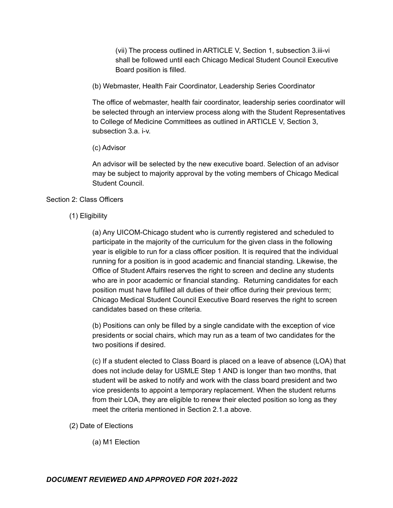(vii) The process outlined in ARTICLE V, Section 1, subsection 3.iii-vi shall be followed until each Chicago Medical Student Council Executive Board position is filled.

(b) Webmaster, Health Fair Coordinator, Leadership Series Coordinator

The office of webmaster, health fair coordinator, leadership series coordinator will be selected through an interview process along with the Student Representatives to College of Medicine Committees as outlined in ARTICLE V, Section 3, subsection 3.a. i-v.

#### (c) Advisor

An advisor will be selected by the new executive board. Selection of an advisor may be subject to majority approval by the voting members of Chicago Medical Student Council.

# Section 2: Class Officers

(1) Eligibility

(a) Any UICOM-Chicago student who is currently registered and scheduled to participate in the majority of the curriculum for the given class in the following year is eligible to run for a class officer position. It is required that the individual running for a position is in good academic and financial standing. Likewise, the Office of Student Affairs reserves the right to screen and decline any students who are in poor academic or financial standing. Returning candidates for each position must have fulfilled all duties of their office during their previous term; Chicago Medical Student Council Executive Board reserves the right to screen candidates based on these criteria.

(b) Positions can only be filled by a single candidate with the exception of vice presidents or social chairs, which may run as a team of two candidates for the two positions if desired.

(c) If a student elected to Class Board is placed on a leave of absence (LOA) that does not include delay for USMLE Step 1 AND is longer than two months, that student will be asked to notify and work with the class board president and two vice presidents to appoint a temporary replacement. When the student returns from their LOA, they are eligible to renew their elected position so long as they meet the criteria mentioned in Section 2.1.a above.

- (2) Date of Elections
	- (a) M1 Election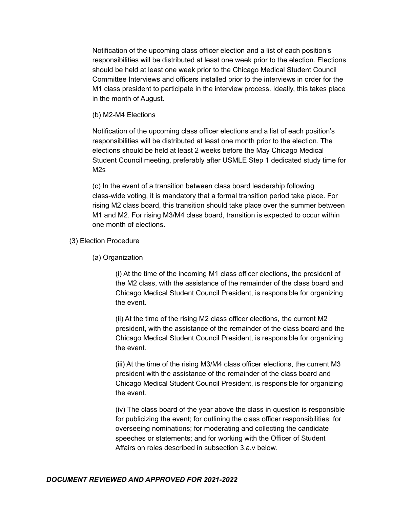Notification of the upcoming class officer election and a list of each position's responsibilities will be distributed at least one week prior to the election. Elections should be held at least one week prior to the Chicago Medical Student Council Committee Interviews and officers installed prior to the interviews in order for the M1 class president to participate in the interview process. Ideally, this takes place in the month of August.

(b) M2-M4 Elections

Notification of the upcoming class officer elections and a list of each position's responsibilities will be distributed at least one month prior to the election. The elections should be held at least 2 weeks before the May Chicago Medical Student Council meeting, preferably after USMLE Step 1 dedicated study time for M2s

(c) In the event of a transition between class board leadership following class-wide voting, it is mandatory that a formal transition period take place. For rising M2 class board, this transition should take place over the summer between M1 and M2. For rising M3/M4 class board, transition is expected to occur within one month of elections.

- (3) Election Procedure
	- (a) Organization

(i) At the time of the incoming M1 class officer elections, the president of the M2 class, with the assistance of the remainder of the class board and Chicago Medical Student Council President, is responsible for organizing the event.

(ii) At the time of the rising M2 class officer elections, the current M2 president, with the assistance of the remainder of the class board and the Chicago Medical Student Council President, is responsible for organizing the event.

(iii) At the time of the rising M3/M4 class officer elections, the current M3 president with the assistance of the remainder of the class board and Chicago Medical Student Council President, is responsible for organizing the event.

(iv) The class board of the year above the class in question is responsible for publicizing the event; for outlining the class officer responsibilities; for overseeing nominations; for moderating and collecting the candidate speeches or statements; and for working with the Officer of Student Affairs on roles described in subsection 3.a.v below.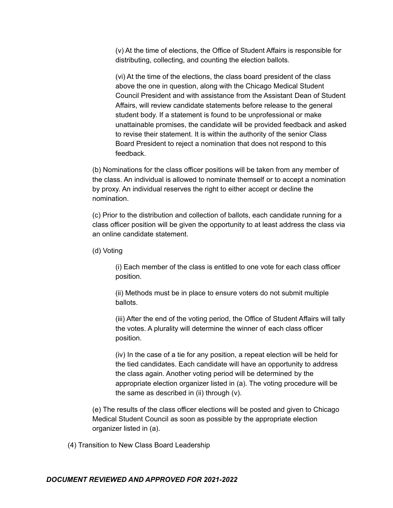(v) At the time of elections, the Office of Student Affairs is responsible for distributing, collecting, and counting the election ballots.

(vi) At the time of the elections, the class board president of the class above the one in question, along with the Chicago Medical Student Council President and with assistance from the Assistant Dean of Student Affairs, will review candidate statements before release to the general student body. If a statement is found to be unprofessional or make unattainable promises, the candidate will be provided feedback and asked to revise their statement. It is within the authority of the senior Class Board President to reject a nomination that does not respond to this feedback.

(b) Nominations for the class officer positions will be taken from any member of the class. An individual is allowed to nominate themself or to accept a nomination by proxy. An individual reserves the right to either accept or decline the nomination.

(c) Prior to the distribution and collection of ballots, each candidate running for a class officer position will be given the opportunity to at least address the class via an online candidate statement.

(d) Voting

(i) Each member of the class is entitled to one vote for each class officer position.

(ii) Methods must be in place to ensure voters do not submit multiple ballots.

(iii) After the end of the voting period, the Office of Student Affairs will tally the votes. A plurality will determine the winner of each class officer position.

(iv) In the case of a tie for any position, a repeat election will be held for the tied candidates. Each candidate will have an opportunity to address the class again. Another voting period will be determined by the appropriate election organizer listed in (a). The voting procedure will be the same as described in (ii) through (v).

(e) The results of the class officer elections will be posted and given to Chicago Medical Student Council as soon as possible by the appropriate election organizer listed in (a).

(4) Transition to New Class Board Leadership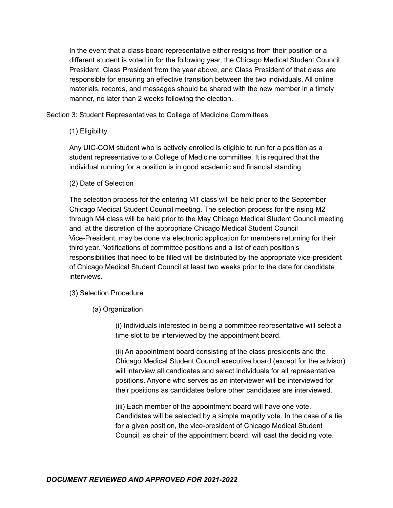In the event that a class board representative either resigns from their position or a different student is voted in for the following year, the Chicago Medical Student Council President, Class President from the year above, and Class President of that class are responsible for ensuring an effective transition between the two individuals. All online materials, records, and messages should be shared with the new member in a timely manner, no later than 2 weeks following the election.

Section 3: Student Representatives to College of Medicine Committees

(1) Eligibility

Any UIC-COM student who is actively enrolled is eligible to run for a position as a student representative to a College of Medicine committee. It is required that the individual running for a position is in good academic and financial standing.

(2) Date of Selection

The selection process for the entering M1 class will be held prior to the September Chicago Medical Student Council meeting. The selection process for the rising M2 through M4 class will be held prior to the May Chicago Medical Student Council meeting and, at the discretion of the appropriate Chicago Medical Student Council Vice-President, may be done via electronic application for members returning for their third year. Notifications of committee positions and a list of each position's responsibilities that need to be filled will be distributed by the appropriate vice-president of Chicago Medical Student Council at least two weeks prior to the date for candidate interviews.

- (3) Selection Procedure
	- (a) Organization

(i) Individuals interested in being a committee representative will select a time slot to be interviewed by the appointment board.

(ii) An appointment board consisting of the class presidents and the Chicago Medical Student Council executive board (except for the advisor) will interview all candidates and select individuals for all representative positions. Anyone who serves as an interviewer will be interviewed for their positions as candidates before other candidates are interviewed.

(iii) Each member of the appointment board will have one vote. Candidates will be selected by a simple majority vote. In the case of a tie for a given position, the vice-president of Chicago Medical Student Council, as chair of the appointment board, will cast the deciding vote.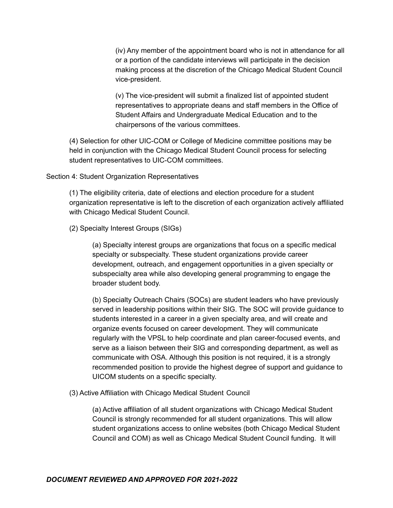(iv) Any member of the appointment board who is not in attendance for all or a portion of the candidate interviews will participate in the decision making process at the discretion of the Chicago Medical Student Council vice-president.

(v) The vice-president will submit a finalized list of appointed student representatives to appropriate deans and staff members in the Office of Student Affairs and Undergraduate Medical Education and to the chairpersons of the various committees.

(4) Selection for other UIC-COM or College of Medicine committee positions may be held in conjunction with the Chicago Medical Student Council process for selecting student representatives to UIC-COM committees.

#### Section 4: Student Organization Representatives

(1) The eligibility criteria, date of elections and election procedure for a student organization representative is left to the discretion of each organization actively affiliated with Chicago Medical Student Council.

(2) Specialty Interest Groups (SIGs)

(a) Specialty interest groups are organizations that focus on a specific medical specialty or subspecialty. These student organizations provide career development, outreach, and engagement opportunities in a given specialty or subspecialty area while also developing general programming to engage the broader student body.

(b) Specialty Outreach Chairs (SOCs) are student leaders who have previously served in leadership positions within their SIG. The SOC will provide guidance to students interested in a career in a given specialty area, and will create and organize events focused on career development. They will communicate regularly with the VPSL to help coordinate and plan career-focused events, and serve as a liaison between their SIG and corresponding department, as well as communicate with OSA. Although this position is not required, it is a strongly recommended position to provide the highest degree of support and guidance to UICOM students on a specific specialty.

(3) Active Affiliation with Chicago Medical Student Council

(a) Active affiliation of all student organizations with Chicago Medical Student Council is strongly recommended for all student organizations. This will allow student organizations access to online websites (both Chicago Medical Student Council and COM) as well as Chicago Medical Student Council funding. It will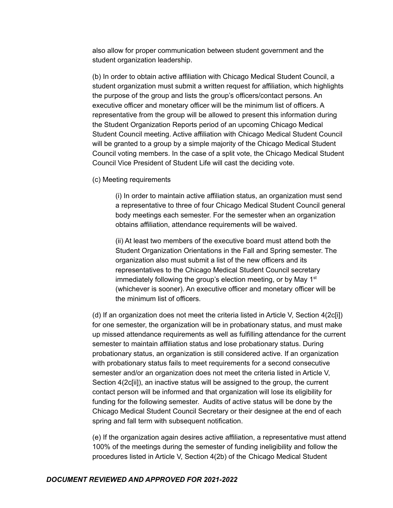also allow for proper communication between student government and the student organization leadership.

(b) In order to obtain active affiliation with Chicago Medical Student Council, a student organization must submit a written request for affiliation, which highlights the purpose of the group and lists the group's officers/contact persons. An executive officer and monetary officer will be the minimum list of officers. A representative from the group will be allowed to present this information during the Student Organization Reports period of an upcoming Chicago Medical Student Council meeting. Active affiliation with Chicago Medical Student Council will be granted to a group by a simple majority of the Chicago Medical Student Council voting members. In the case of a split vote, the Chicago Medical Student Council Vice President of Student Life will cast the deciding vote.

(c) Meeting requirements

(i) In order to maintain active affiliation status, an organization must send a representative to three of four Chicago Medical Student Council general body meetings each semester. For the semester when an organization obtains affiliation, attendance requirements will be waived.

(ii) At least two members of the executive board must attend both the Student Organization Orientations in the Fall and Spring semester. The organization also must submit a list of the new officers and its representatives to the Chicago Medical Student Council secretary immediately following the group's election meeting, or by May 1<sup>st</sup> (whichever is sooner). An executive officer and monetary officer will be the minimum list of officers.

(d) If an organization does not meet the criteria listed in Article V, Section 4(2c[i]) for one semester, the organization will be in probationary status, and must make up missed attendance requirements as well as fulfilling attendance for the current semester to maintain affiliation status and lose probationary status. During probationary status, an organization is still considered active. If an organization with probationary status fails to meet requirements for a second consecutive semester and/or an organization does not meet the criteria listed in Article V, Section 4(2c[ii]), an inactive status will be assigned to the group, the current contact person will be informed and that organization will lose its eligibility for funding for the following semester. Audits of active status will be done by the Chicago Medical Student Council Secretary or their designee at the end of each spring and fall term with subsequent notification.

(e) If the organization again desires active affiliation, a representative must attend 100% of the meetings during the semester of funding ineligibility and follow the procedures listed in Article V, Section 4(2b) of the Chicago Medical Student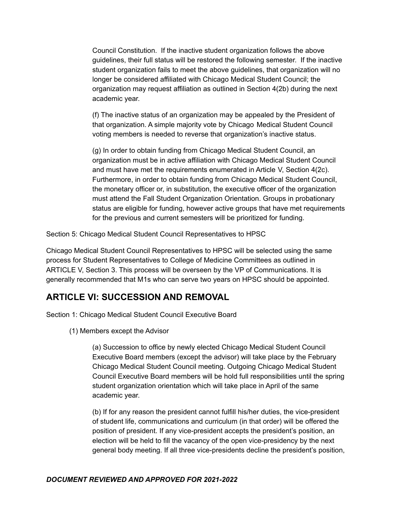Council Constitution. If the inactive student organization follows the above guidelines, their full status will be restored the following semester. If the inactive student organization fails to meet the above guidelines, that organization will no longer be considered affiliated with Chicago Medical Student Council; the organization may request affiliation as outlined in Section 4(2b) during the next academic year.

(f) The inactive status of an organization may be appealed by the President of that organization. A simple majority vote by Chicago Medical Student Council voting members is needed to reverse that organization's inactive status.

(g) In order to obtain funding from Chicago Medical Student Council, an organization must be in active affiliation with Chicago Medical Student Council and must have met the requirements enumerated in Article V, Section 4(2c). Furthermore, in order to obtain funding from Chicago Medical Student Council, the monetary officer or, in substitution, the executive officer of the organization must attend the Fall Student Organization Orientation. Groups in probationary status are eligible for funding, however active groups that have met requirements for the previous and current semesters will be prioritized for funding.

Section 5: Chicago Medical Student Council Representatives to HPSC

Chicago Medical Student Council Representatives to HPSC will be selected using the same process for Student Representatives to College of Medicine Committees as outlined in ARTICLE V, Section 3. This process will be overseen by the VP of Communications. It is generally recommended that M1s who can serve two years on HPSC should be appointed.

# **ARTICLE VI: SUCCESSION AND REMOVAL**

Section 1: Chicago Medical Student Council Executive Board

(1) Members except the Advisor

(a) Succession to office by newly elected Chicago Medical Student Council Executive Board members (except the advisor) will take place by the February Chicago Medical Student Council meeting. Outgoing Chicago Medical Student Council Executive Board members will be hold full responsibilities until the spring student organization orientation which will take place in April of the same academic year.

(b) If for any reason the president cannot fulfill his/her duties, the vice-president of student life, communications and curriculum (in that order) will be offered the position of president. If any vice-president accepts the president's position, an election will be held to fill the vacancy of the open vice-presidency by the next general body meeting. If all three vice-presidents decline the president's position,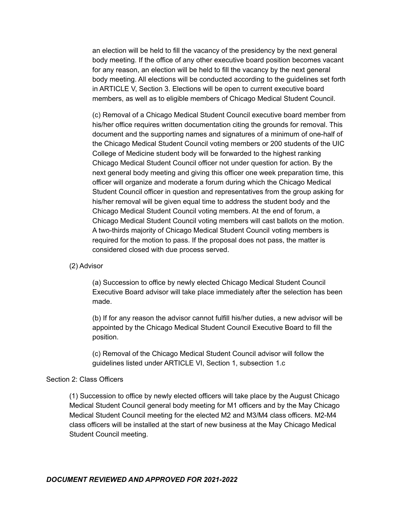an election will be held to fill the vacancy of the presidency by the next general body meeting. If the office of any other executive board position becomes vacant for any reason, an election will be held to fill the vacancy by the next general body meeting. All elections will be conducted according to the guidelines set forth in ARTICLE V, Section 3. Elections will be open to current executive board members, as well as to eligible members of Chicago Medical Student Council.

(c) Removal of a Chicago Medical Student Council executive board member from his/her office requires written documentation citing the grounds for removal. This document and the supporting names and signatures of a minimum of one-half of the Chicago Medical Student Council voting members or 200 students of the UIC College of Medicine student body will be forwarded to the highest ranking Chicago Medical Student Council officer not under question for action. By the next general body meeting and giving this officer one week preparation time, this officer will organize and moderate a forum during which the Chicago Medical Student Council officer in question and representatives from the group asking for his/her removal will be given equal time to address the student body and the Chicago Medical Student Council voting members. At the end of forum, a Chicago Medical Student Council voting members will cast ballots on the motion. A two-thirds majority of Chicago Medical Student Council voting members is required for the motion to pass. If the proposal does not pass, the matter is considered closed with due process served.

#### (2) Advisor

(a) Succession to office by newly elected Chicago Medical Student Council Executive Board advisor will take place immediately after the selection has been made.

(b) If for any reason the advisor cannot fulfill his/her duties, a new advisor will be appointed by the Chicago Medical Student Council Executive Board to fill the position.

(c) Removal of the Chicago Medical Student Council advisor will follow the guidelines listed under ARTICLE VI, Section 1, subsection 1.c

#### Section 2: Class Officers

(1) Succession to office by newly elected officers will take place by the August Chicago Medical Student Council general body meeting for M1 officers and by the May Chicago Medical Student Council meeting for the elected M2 and M3/M4 class officers. M2-M4 class officers will be installed at the start of new business at the May Chicago Medical Student Council meeting.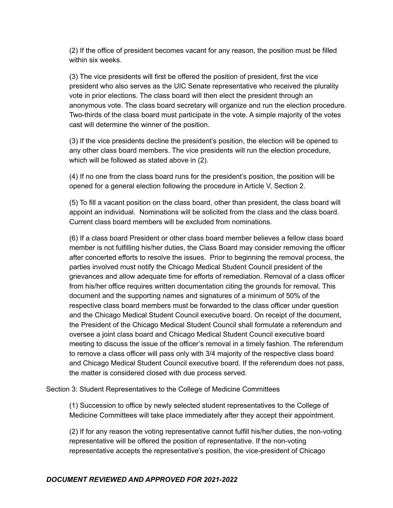(2) If the office of president becomes vacant for any reason, the position must be filled within six weeks.

(3) The vice presidents will first be offered the position of president, first the vice president who also serves as the UIC Senate representative who received the plurality vote in prior elections. The class board will then elect the president through an anonymous vote. The class board secretary will organize and run the election procedure. Two-thirds of the class board must participate in the vote. A simple majority of the votes cast will determine the winner of the position.

(3) If the vice presidents decline the president's position, the election will be opened to any other class board members. The vice presidents will run the election procedure, which will be followed as stated above in (2).

(4) If no one from the class board runs for the president's position, the position will be opened for a general election following the procedure in Article V, Section 2.

(5) To fill a vacant position on the class board, other than president, the class board will appoint an individual. Nominations will be solicited from the class and the class board. Current class board members will be excluded from nominations.

(6) If a class board President or other class board member believes a fellow class board member is not fulfilling his/her duties, the Class Board may consider removing the officer after concerted efforts to resolve the issues. Prior to beginning the removal process, the parties involved must notify the Chicago Medical Student Council president of the grievances and allow adequate time for efforts of remediation. Removal of a class officer from his/her office requires written documentation citing the grounds for removal. This document and the supporting names and signatures of a minimum of 50% of the respective class board members must be forwarded to the class officer under question and the Chicago Medical Student Council executive board. On receipt of the document, the President of the Chicago Medical Student Council shall formulate a referendum and oversee a joint class board and Chicago Medical Student Council executive board meeting to discuss the issue of the officer's removal in a timely fashion. The referendum to remove a class officer will pass only with 3/4 majority of the respective class board and Chicago Medical Student Council executive board. If the referendum does not pass, the matter is considered closed with due process served.

Section 3: Student Representatives to the College of Medicine Committees

(1) Succession to office by newly selected student representatives to the College of Medicine Committees will take place immediately after they accept their appointment.

(2) If for any reason the voting representative cannot fulfill his/her duties, the non-voting representative will be offered the position of representative. If the non-voting representative accepts the representative's position, the vice-president of Chicago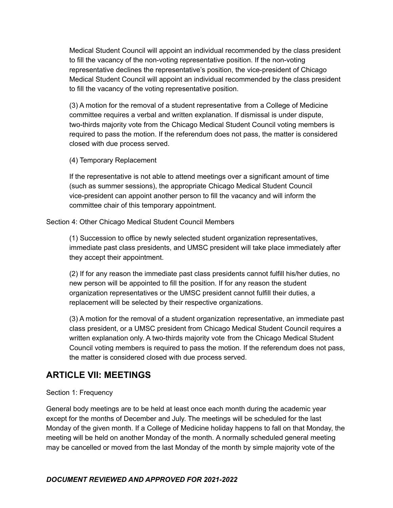Medical Student Council will appoint an individual recommended by the class president to fill the vacancy of the non-voting representative position. If the non-voting representative declines the representative's position, the vice-president of Chicago Medical Student Council will appoint an individual recommended by the class president to fill the vacancy of the voting representative position.

(3) A motion for the removal of a student representative from a College of Medicine committee requires a verbal and written explanation. If dismissal is under dispute, two-thirds majority vote from the Chicago Medical Student Council voting members is required to pass the motion. If the referendum does not pass, the matter is considered closed with due process served.

(4) Temporary Replacement

If the representative is not able to attend meetings over a significant amount of time (such as summer sessions), the appropriate Chicago Medical Student Council vice-president can appoint another person to fill the vacancy and will inform the committee chair of this temporary appointment.

Section 4: Other Chicago Medical Student Council Members

(1) Succession to office by newly selected student organization representatives, immediate past class presidents, and UMSC president will take place immediately after they accept their appointment.

(2) If for any reason the immediate past class presidents cannot fulfill his/her duties, no new person will be appointed to fill the position. If for any reason the student organization representatives or the UMSC president cannot fulfill their duties, a replacement will be selected by their respective organizations.

(3) A motion for the removal of a student organization representative, an immediate past class president, or a UMSC president from Chicago Medical Student Council requires a written explanation only. A two-thirds majority vote from the Chicago Medical Student Council voting members is required to pass the motion. If the referendum does not pass, the matter is considered closed with due process served.

# **ARTICLE VII: MEETINGS**

# Section 1: Frequency

General body meetings are to be held at least once each month during the academic year except for the months of December and July. The meetings will be scheduled for the last Monday of the given month. If a College of Medicine holiday happens to fall on that Monday, the meeting will be held on another Monday of the month. A normally scheduled general meeting may be cancelled or moved from the last Monday of the month by simple majority vote of the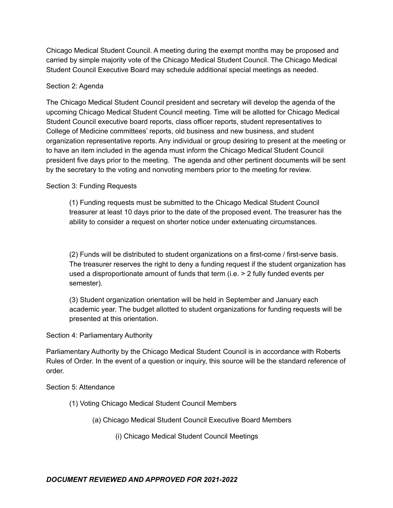Chicago Medical Student Council. A meeting during the exempt months may be proposed and carried by simple majority vote of the Chicago Medical Student Council. The Chicago Medical Student Council Executive Board may schedule additional special meetings as needed.

# Section 2: Agenda

The Chicago Medical Student Council president and secretary will develop the agenda of the upcoming Chicago Medical Student Council meeting. Time will be allotted for Chicago Medical Student Council executive board reports, class officer reports, student representatives to College of Medicine committees' reports, old business and new business, and student organization representative reports. Any individual or group desiring to present at the meeting or to have an item included in the agenda must inform the Chicago Medical Student Council president five days prior to the meeting. The agenda and other pertinent documents will be sent by the secretary to the voting and nonvoting members prior to the meeting for review.

# Section 3: Funding Requests

(1) Funding requests must be submitted to the Chicago Medical Student Council treasurer at least 10 days prior to the date of the proposed event. The treasurer has the ability to consider a request on shorter notice under extenuating circumstances.

(2) Funds will be distributed to student organizations on a first-come / first-serve basis. The treasurer reserves the right to deny a funding request if the student organization has used a disproportionate amount of funds that term (i.e. > 2 fully funded events per semester).

(3) Student organization orientation will be held in September and January each academic year. The budget allotted to student organizations for funding requests will be presented at this orientation.

# Section 4: Parliamentary Authority

Parliamentary Authority by the Chicago Medical Student Council is in accordance with Roberts Rules of Order. In the event of a question or inquiry, this source will be the standard reference of order.

# Section 5: Attendance

- (1) Voting Chicago Medical Student Council Members
	- (a) Chicago Medical Student Council Executive Board Members
		- (i) Chicago Medical Student Council Meetings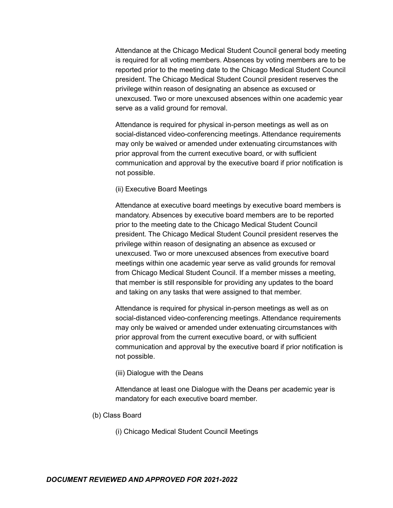Attendance at the Chicago Medical Student Council general body meeting is required for all voting members. Absences by voting members are to be reported prior to the meeting date to the Chicago Medical Student Council president. The Chicago Medical Student Council president reserves the privilege within reason of designating an absence as excused or unexcused. Two or more unexcused absences within one academic year serve as a valid ground for removal.

Attendance is required for physical in-person meetings as well as on social-distanced video-conferencing meetings. Attendance requirements may only be waived or amended under extenuating circumstances with prior approval from the current executive board, or with sufficient communication and approval by the executive board if prior notification is not possible.

(ii) Executive Board Meetings

Attendance at executive board meetings by executive board members is mandatory. Absences by executive board members are to be reported prior to the meeting date to the Chicago Medical Student Council president. The Chicago Medical Student Council president reserves the privilege within reason of designating an absence as excused or unexcused. Two or more unexcused absences from executive board meetings within one academic year serve as valid grounds for removal from Chicago Medical Student Council. If a member misses a meeting, that member is still responsible for providing any updates to the board and taking on any tasks that were assigned to that member.

Attendance is required for physical in-person meetings as well as on social-distanced video-conferencing meetings. Attendance requirements may only be waived or amended under extenuating circumstances with prior approval from the current executive board, or with sufficient communication and approval by the executive board if prior notification is not possible.

(iii) Dialogue with the Deans

Attendance at least one Dialogue with the Deans per academic year is mandatory for each executive board member.

- (b) Class Board
	- (i) Chicago Medical Student Council Meetings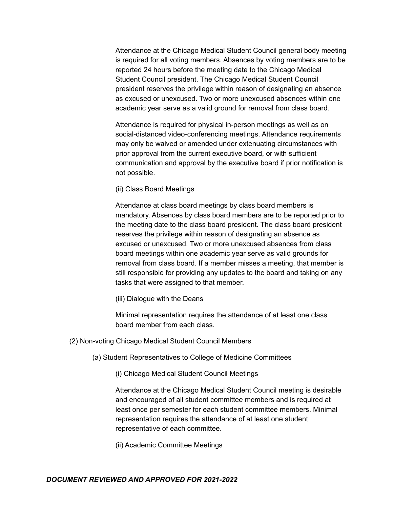Attendance at the Chicago Medical Student Council general body meeting is required for all voting members. Absences by voting members are to be reported 24 hours before the meeting date to the Chicago Medical Student Council president. The Chicago Medical Student Council president reserves the privilege within reason of designating an absence as excused or unexcused. Two or more unexcused absences within one academic year serve as a valid ground for removal from class board.

Attendance is required for physical in-person meetings as well as on social-distanced video-conferencing meetings. Attendance requirements may only be waived or amended under extenuating circumstances with prior approval from the current executive board, or with sufficient communication and approval by the executive board if prior notification is not possible.

(ii) Class Board Meetings

Attendance at class board meetings by class board members is mandatory. Absences by class board members are to be reported prior to the meeting date to the class board president. The class board president reserves the privilege within reason of designating an absence as excused or unexcused. Two or more unexcused absences from class board meetings within one academic year serve as valid grounds for removal from class board. If a member misses a meeting, that member is still responsible for providing any updates to the board and taking on any tasks that were assigned to that member.

(iii) Dialogue with the Deans

Minimal representation requires the attendance of at least one class board member from each class.

- (2) Non-voting Chicago Medical Student Council Members
	- (a) Student Representatives to College of Medicine Committees

(i) Chicago Medical Student Council Meetings

Attendance at the Chicago Medical Student Council meeting is desirable and encouraged of all student committee members and is required at least once per semester for each student committee members. Minimal representation requires the attendance of at least one student representative of each committee.

(ii) Academic Committee Meetings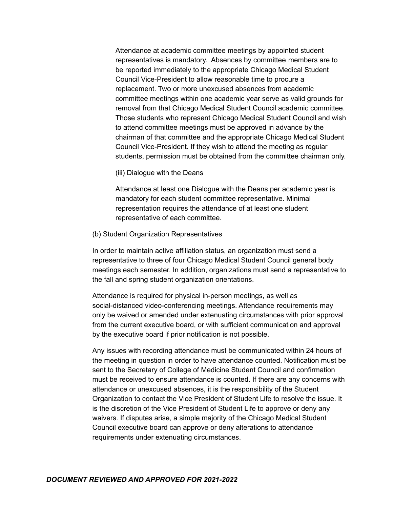Attendance at academic committee meetings by appointed student representatives is mandatory. Absences by committee members are to be reported immediately to the appropriate Chicago Medical Student Council Vice-President to allow reasonable time to procure a replacement. Two or more unexcused absences from academic committee meetings within one academic year serve as valid grounds for removal from that Chicago Medical Student Council academic committee. Those students who represent Chicago Medical Student Council and wish to attend committee meetings must be approved in advance by the chairman of that committee and the appropriate Chicago Medical Student Council Vice-President. If they wish to attend the meeting as regular students, permission must be obtained from the committee chairman only.

(iii) Dialogue with the Deans

Attendance at least one Dialogue with the Deans per academic year is mandatory for each student committee representative. Minimal representation requires the attendance of at least one student representative of each committee.

(b) Student Organization Representatives

In order to maintain active affiliation status, an organization must send a representative to three of four Chicago Medical Student Council general body meetings each semester. In addition, organizations must send a representative to the fall and spring student organization orientations.

Attendance is required for physical in-person meetings, as well as social-distanced video-conferencing meetings. Attendance requirements may only be waived or amended under extenuating circumstances with prior approval from the current executive board, or with sufficient communication and approval by the executive board if prior notification is not possible.

Any issues with recording attendance must be communicated within 24 hours of the meeting in question in order to have attendance counted. Notification must be sent to the Secretary of College of Medicine Student Council and confirmation must be received to ensure attendance is counted. If there are any concerns with attendance or unexcused absences, it is the responsibility of the Student Organization to contact the Vice President of Student Life to resolve the issue. It is the discretion of the Vice President of Student Life to approve or deny any waivers. If disputes arise, a simple majority of the Chicago Medical Student Council executive board can approve or deny alterations to attendance requirements under extenuating circumstances.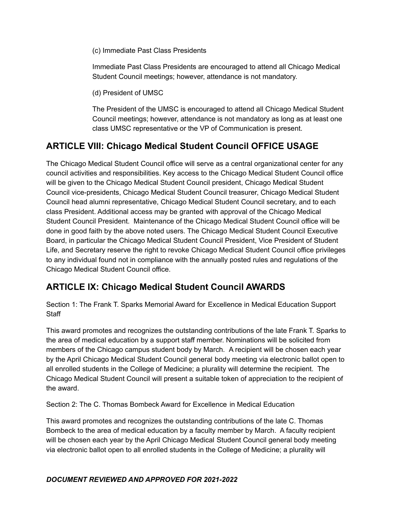(c) Immediate Past Class Presidents

Immediate Past Class Presidents are encouraged to attend all Chicago Medical Student Council meetings; however, attendance is not mandatory.

(d) President of UMSC

The President of the UMSC is encouraged to attend all Chicago Medical Student Council meetings; however, attendance is not mandatory as long as at least one class UMSC representative or the VP of Communication is present.

# **ARTICLE VIII: Chicago Medical Student Council OFFICE USAGE**

The Chicago Medical Student Council office will serve as a central organizational center for any council activities and responsibilities. Key access to the Chicago Medical Student Council office will be given to the Chicago Medical Student Council president, Chicago Medical Student Council vice-presidents, Chicago Medical Student Council treasurer, Chicago Medical Student Council head alumni representative, Chicago Medical Student Council secretary, and to each class President. Additional access may be granted with approval of the Chicago Medical Student Council President. Maintenance of the Chicago Medical Student Council office will be done in good faith by the above noted users. The Chicago Medical Student Council Executive Board, in particular the Chicago Medical Student Council President, Vice President of Student Life, and Secretary reserve the right to revoke Chicago Medical Student Council office privileges to any individual found not in compliance with the annually posted rules and regulations of the Chicago Medical Student Council office.

# **ARTICLE IX: Chicago Medical Student Council AWARDS**

Section 1: The Frank T. Sparks Memorial Award for Excellence in Medical Education Support **Staff** 

This award promotes and recognizes the outstanding contributions of the late Frank T. Sparks to the area of medical education by a support staff member. Nominations will be solicited from members of the Chicago campus student body by March. A recipient will be chosen each year by the April Chicago Medical Student Council general body meeting via electronic ballot open to all enrolled students in the College of Medicine; a plurality will determine the recipient. The Chicago Medical Student Council will present a suitable token of appreciation to the recipient of the award.

Section 2: The C. Thomas Bombeck Award for Excellence in Medical Education

This award promotes and recognizes the outstanding contributions of the late C. Thomas Bombeck to the area of medical education by a faculty member by March. A faculty recipient will be chosen each year by the April Chicago Medical Student Council general body meeting via electronic ballot open to all enrolled students in the College of Medicine; a plurality will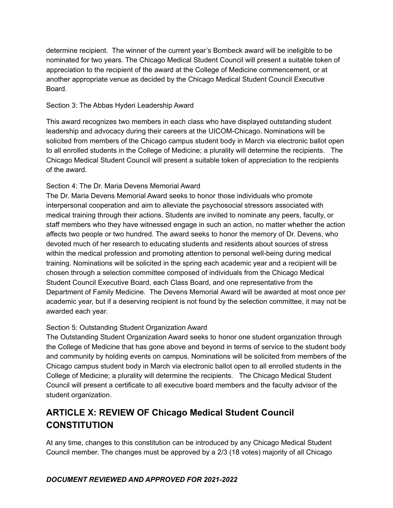determine recipient. The winner of the current year's Bombeck award will be ineligible to be nominated for two years. The Chicago Medical Student Council will present a suitable token of appreciation to the recipient of the award at the College of Medicine commencement, or at another appropriate venue as decided by the Chicago Medical Student Council Executive Board.

# Section 3: The Abbas Hyderi Leadership Award

This award recognizes two members in each class who have displayed outstanding student leadership and advocacy during their careers at the UICOM-Chicago. Nominations will be solicited from members of the Chicago campus student body in March via electronic ballot open to all enrolled students in the College of Medicine; a plurality will determine the recipients. The Chicago Medical Student Council will present a suitable token of appreciation to the recipients of the award.

# Section 4: The Dr. Maria Devens Memorial Award

The Dr. Maria Devens Memorial Award seeks to honor those individuals who promote interpersonal cooperation and aim to alleviate the psychosocial stressors associated with medical training through their actions. Students are invited to nominate any peers, faculty, or staff members who they have witnessed engage in such an action, no matter whether the action affects two people or two hundred. The award seeks to honor the memory of Dr. Devens, who devoted much of her research to educating students and residents about sources of stress within the medical profession and promoting attention to personal well-being during medical training. Nominations will be solicited in the spring each academic year and a recipient will be chosen through a selection committee composed of individuals from the Chicago Medical Student Council Executive Board, each Class Board, and one representative from the Department of Family Medicine. The Devens Memorial Award will be awarded at most once per academic year, but if a deserving recipient is not found by the selection committee, it may not be awarded each year.

# Section 5: Outstanding Student Organization Award

The Outstanding Student Organization Award seeks to honor one student organization through the College of Medicine that has gone above and beyond in terms of service to the student body and community by holding events on campus. Nominations will be solicited from members of the Chicago campus student body in March via electronic ballot open to all enrolled students in the College of Medicine; a plurality will determine the recipients. The Chicago Medical Student Council will present a certificate to all executive board members and the faculty advisor of the student organization.

# **ARTICLE X: REVIEW OF Chicago Medical Student Council CONSTITUTION**

At any time, changes to this constitution can be introduced by any Chicago Medical Student Council member. The changes must be approved by a 2/3 (18 votes) majority of all Chicago

# *DOCUMENT REVIEWED AND APPROVED FOR 2021-2022*